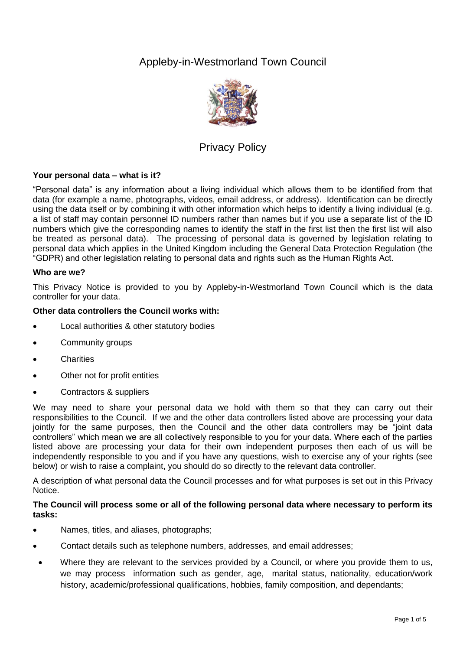# Appleby-in-Westmorland Town Council



# Privacy Policy

# **Your personal data – what is it?**

"Personal data" is any information about a living individual which allows them to be identified from that data (for example a name, photographs, videos, email address, or address). Identification can be directly using the data itself or by combining it with other information which helps to identify a living individual (e.g. a list of staff may contain personnel ID numbers rather than names but if you use a separate list of the ID numbers which give the corresponding names to identify the staff in the first list then the first list will also be treated as personal data). The processing of personal data is governed by legislation relating to personal data which applies in the United Kingdom including the General Data Protection Regulation (the "GDPR) and other legislation relating to personal data and rights such as the Human Rights Act.

## **Who are we?**

This Privacy Notice is provided to you by Appleby-in-Westmorland Town Council which is the data controller for your data.

## **Other data controllers the Council works with:**

- Local authorities & other statutory bodies
- Community groups
- Charities
- Other not for profit entities
- Contractors & suppliers

We may need to share your personal data we hold with them so that they can carry out their responsibilities to the Council. If we and the other data controllers listed above are processing your data jointly for the same purposes, then the Council and the other data controllers may be "joint data controllers" which mean we are all collectively responsible to you for your data. Where each of the parties listed above are processing your data for their own independent purposes then each of us will be independently responsible to you and if you have any questions, wish to exercise any of your rights (see below) or wish to raise a complaint, you should do so directly to the relevant data controller.

A description of what personal data the Council processes and for what purposes is set out in this Privacy Notice.

## **The Council will process some or all of the following personal data where necessary to perform its tasks:**

- Names, titles, and aliases, photographs;
- Contact details such as telephone numbers, addresses, and email addresses;
- Where they are relevant to the services provided by a Council, or where you provide them to us, we may process information such as gender, age, marital status, nationality, education/work history, academic/professional qualifications, hobbies, family composition, and dependants;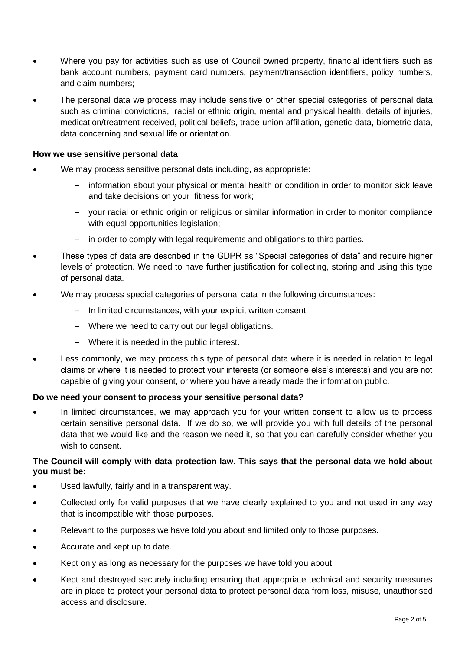- Where you pay for activities such as use of Council owned property, financial identifiers such as bank account numbers, payment card numbers, payment/transaction identifiers, policy numbers, and claim numbers;
- The personal data we process may include sensitive or other special categories of personal data such as criminal convictions, racial or ethnic origin, mental and physical health, details of injuries, medication/treatment received, political beliefs, trade union affiliation, genetic data, biometric data, data concerning and sexual life or orientation.

## **How we use sensitive personal data**

- We may process sensitive personal data including, as appropriate:
	- information about your physical or mental health or condition in order to monitor sick leave and take decisions on your fitness for work;
	- your racial or ethnic origin or religious or similar information in order to monitor compliance with equal opportunities legislation;
	- in order to comply with legal requirements and obligations to third parties.
- These types of data are described in the GDPR as "Special categories of data" and require higher levels of protection. We need to have further justification for collecting, storing and using this type of personal data.
- We may process special categories of personal data in the following circumstances:
	- In limited circumstances, with your explicit written consent.
	- Where we need to carry out our legal obligations.
	- Where it is needed in the public interest.
- Less commonly, we may process this type of personal data where it is needed in relation to legal claims or where it is needed to protect your interests (or someone else's interests) and you are not capable of giving your consent, or where you have already made the information public.

#### **Do we need your consent to process your sensitive personal data?**

In limited circumstances, we may approach you for your written consent to allow us to process certain sensitive personal data. If we do so, we will provide you with full details of the personal data that we would like and the reason we need it, so that you can carefully consider whether you wish to consent.

## **The Council will comply with data protection law. This says that the personal data we hold about you must be:**

- Used lawfully, fairly and in a transparent way.
- Collected only for valid purposes that we have clearly explained to you and not used in any way that is incompatible with those purposes.
- Relevant to the purposes we have told you about and limited only to those purposes.
- Accurate and kept up to date.
- Kept only as long as necessary for the purposes we have told you about.
- Kept and destroyed securely including ensuring that appropriate technical and security measures are in place to protect your personal data to protect personal data from loss, misuse, unauthorised access and disclosure.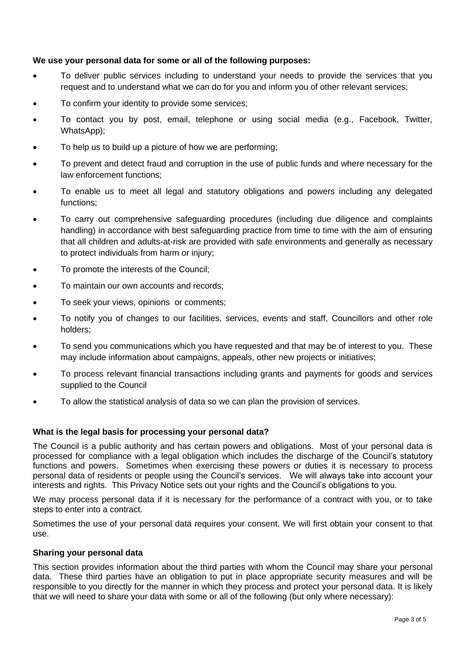## **We use your personal data for some or all of the following purposes:**

- To deliver public services including to understand your needs to provide the services that you request and to understand what we can do for you and inform you of other relevant services;
- To confirm your identity to provide some services;
- To contact you by post, email, telephone or using social media (e.g., Facebook, Twitter, WhatsApp);
- To help us to build up a picture of how we are performing;
- To prevent and detect fraud and corruption in the use of public funds and where necessary for the law enforcement functions;
- To enable us to meet all legal and statutory obligations and powers including any delegated functions;
- To carry out comprehensive safeguarding procedures (including due diligence and complaints handling) in accordance with best safeguarding practice from time to time with the aim of ensuring that all children and adults-at-risk are provided with safe environments and generally as necessary to protect individuals from harm or injury;
- To promote the interests of the Council;
- To maintain our own accounts and records;
- To seek your views, opinions or comments;
- To notify you of changes to our facilities, services, events and staff, Councillors and other role holders;
- To send you communications which you have requested and that may be of interest to you. These may include information about campaigns, appeals, other new projects or initiatives;
- To process relevant financial transactions including grants and payments for goods and services supplied to the Council
- To allow the statistical analysis of data so we can plan the provision of services.

## **What is the legal basis for processing your personal data?**

The Council is a public authority and has certain powers and obligations. Most of your personal data is processed for compliance with a legal obligation which includes the discharge of the Council's statutory functions and powers. Sometimes when exercising these powers or duties it is necessary to process personal data of residents or people using the Council's services. We will always take into account your interests and rights. This Privacy Notice sets out your rights and the Council's obligations to you.

We may process personal data if it is necessary for the performance of a contract with you, or to take steps to enter into a contract.

Sometimes the use of your personal data requires your consent. We will first obtain your consent to that use.

## **Sharing your personal data**

This section provides information about the third parties with whom the Council may share your personal data. These third parties have an obligation to put in place appropriate security measures and will be responsible to you directly for the manner in which they process and protect your personal data. It is likely that we will need to share your data with some or all of the following (but only where necessary):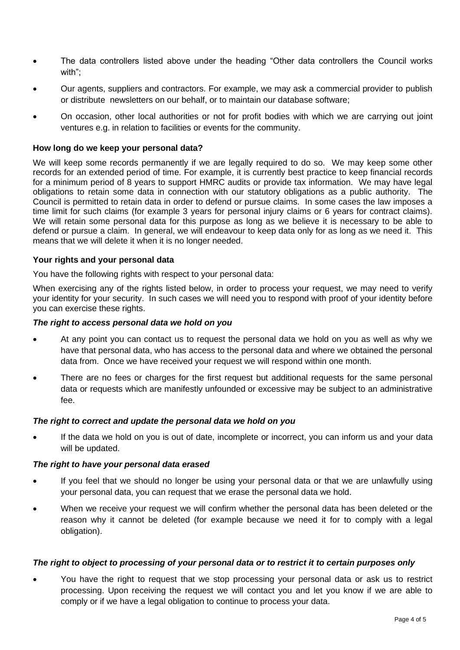- The data controllers listed above under the heading "Other data controllers the Council works with";
- Our agents, suppliers and contractors. For example, we may ask a commercial provider to publish or distribute newsletters on our behalf, or to maintain our database software;
- On occasion, other local authorities or not for profit bodies with which we are carrying out joint ventures e.g. in relation to facilities or events for the community.

## **How long do we keep your personal data?**

We will keep some records permanently if we are legally required to do so. We may keep some other records for an extended period of time. For example, it is currently best practice to keep financial records for a minimum period of 8 years to support HMRC audits or provide tax information. We may have legal obligations to retain some data in connection with our statutory obligations as a public authority. The Council is permitted to retain data in order to defend or pursue claims. In some cases the law imposes a time limit for such claims (for example 3 years for personal injury claims or 6 years for contract claims). We will retain some personal data for this purpose as long as we believe it is necessary to be able to defend or pursue a claim. In general, we will endeavour to keep data only for as long as we need it. This means that we will delete it when it is no longer needed.

## **Your rights and your personal data**

You have the following rights with respect to your personal data:

When exercising any of the rights listed below, in order to process your request, we may need to verify your identity for your security. In such cases we will need you to respond with proof of your identity before you can exercise these rights.

## *The right to access personal data we hold on you*

- At any point you can contact us to request the personal data we hold on you as well as why we have that personal data, who has access to the personal data and where we obtained the personal data from. Once we have received your request we will respond within one month.
- There are no fees or charges for the first request but additional requests for the same personal data or requests which are manifestly unfounded or excessive may be subject to an administrative fee.

#### *The right to correct and update the personal data we hold on you*

If the data we hold on you is out of date, incomplete or incorrect, you can inform us and your data will be updated.

#### *The right to have your personal data erased*

- If you feel that we should no longer be using your personal data or that we are unlawfully using your personal data, you can request that we erase the personal data we hold.
- When we receive your request we will confirm whether the personal data has been deleted or the reason why it cannot be deleted (for example because we need it for to comply with a legal obligation).

#### *The right to object to processing of your personal data or to restrict it to certain purposes only*

• You have the right to request that we stop processing your personal data or ask us to restrict processing. Upon receiving the request we will contact you and let you know if we are able to comply or if we have a legal obligation to continue to process your data.